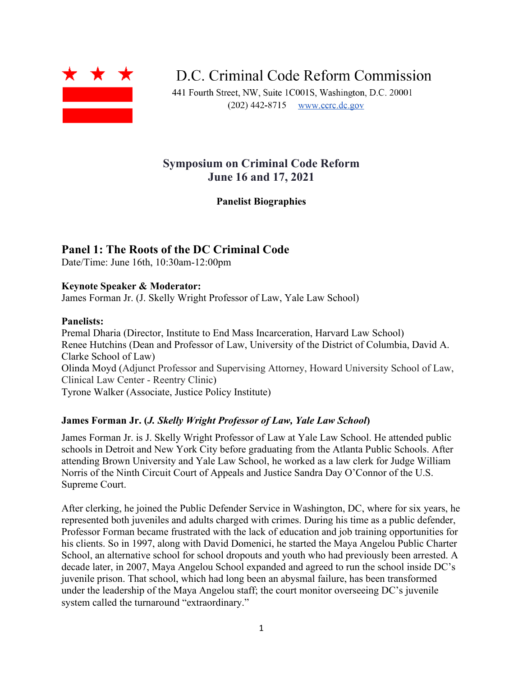

D.C. Criminal Code Reform Commission

441 Fourth Street, NW, Suite 1C001S, Washington, D.C. 20001  $(202)$  442-8715 www.ccrc.dc.gov

# **Symposium on Criminal Code Reform June 16 and 17, 2021**

**Panelist Biographies**

## **Panel 1: The Roots of the DC Criminal Code**

Date/Time: June 16th, 10:30am-12:00pm

### **Keynote Speaker & Moderator:**

James Forman Jr. (J. Skelly Wright Professor of Law, Yale Law School)

### **Panelists:**

Premal Dharia (Director, Institute to End Mass Incarceration, Harvard Law School) Renee Hutchins (Dean and Professor of Law, University of the District of Columbia, David A. Clarke School of Law) Olinda Moyd (Adjunct Professor and Supervising Attorney, Howard University School of Law, Clinical Law Center - Reentry Clinic) Tyrone Walker (Associate, Justice Policy Institute)

### **James Forman Jr. (***J. Skelly Wright Professor of Law, Yale Law School***)**

James Forman Jr. is J. Skelly Wright Professor of Law at Yale Law School. He attended public schools in Detroit and New York City before graduating from the Atlanta Public Schools. After attending Brown University and Yale Law School, he worked as a law clerk for Judge William Norris of the Ninth Circuit Court of Appeals and Justice Sandra Day O'Connor of the U.S. Supreme Court.

After clerking, he joined the Public Defender Service in Washington, DC, where for six years, he represented both juveniles and adults charged with crimes. During his time as a public defender, Professor Forman became frustrated with the lack of education and job training opportunities for his clients. So in 1997, along with David Domenici, he started the Maya Angelou Public Charter School, an alternative school for school dropouts and youth who had previously been arrested. A decade later, in 2007, Maya Angelou School expanded and agreed to run the school inside DC's juvenile prison. That school, which had long been an abysmal failure, has been transformed under the leadership of the Maya Angelou staff; the court monitor overseeing DC's juvenile system called the turnaround "extraordinary."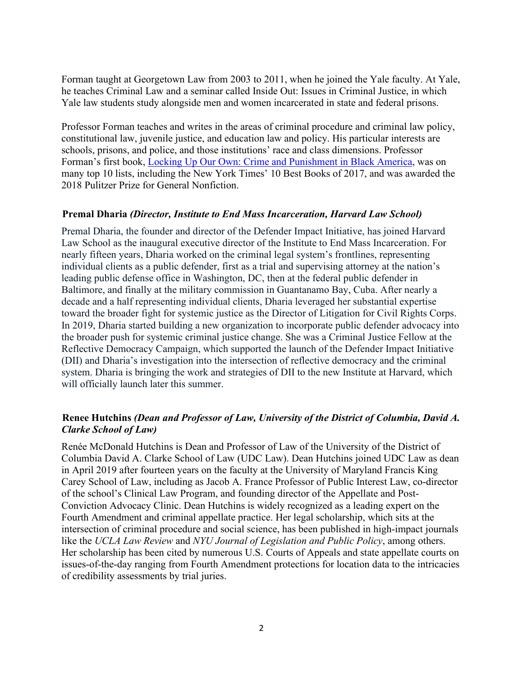Forman taught at Georgetown Law from 2003 to 2011, when he joined the Yale faculty. At Yale, he teaches Criminal Law and a seminar called Inside Out: Issues in Criminal Justice, in which Yale law students study alongside men and women incarcerated in state and federal prisons.

Professor Forman teaches and writes in the areas of criminal procedure and criminal law policy, constitutional law, juvenile justice, and education law and policy. His particular interests are schools, prisons, and police, and those institutions' race and class dimensions. Professor Forman's first book, Locking Up Our Own: Crime and [Punishment](https://www.jamesformanjr.com/) in Black America, was on many top 10 lists, including the New York Times' 10 Best Books of 2017, and was awarded the 2018 Pulitzer Prize for General Nonfiction.

#### **Premal Dharia** *(Director, Institute to End Mass Incarceration, Harvard Law School)*

Premal Dharia, the founder and director of the Defender Impact Initiative, has joined Harvard Law School as the inaugural executive director of the Institute to End Mass Incarceration. For nearly fifteen years, Dharia worked on the criminal legal system's frontlines, representing individual clients as a public defender, first as a trial and supervising attorney at the nation's leading public defense office in Washington, DC, then at the federal public defender in Baltimore, and finally at the military commission in Guantanamo Bay, Cuba. After nearly a decade and a half representing individual clients, Dharia leveraged her substantial expertise toward the broader fight for systemic justice as the Director of Litigation for Civil Rights Corps. In 2019, Dharia started building a new organization to incorporate public defender advocacy into the broader push for systemic criminal justice change. She was a Criminal Justice Fellow at the Reflective Democracy Campaign, which supported the launch of the Defender Impact Initiative (DII) and Dharia's investigation into the intersection of reflective democracy and the criminal system. Dharia is bringing the work and strategies of DII to the new Institute at Harvard, which will officially launch later this summer.

### **Renee Hutchins** *(Dean and Professor of Law, University of the District of Columbia, David A. Clarke School of Law)*

Renée McDonald Hutchins is Dean and Professor of Law of the University of the District of Columbia David A. Clarke School of Law (UDC Law). Dean Hutchins joined UDC Law as dean in April 2019 after fourteen years on the faculty at the University of Maryland Francis King Carey School of Law, including as Jacob A. France Professor of Public Interest Law, co-director of the school's Clinical Law Program, and founding director of the Appellate and Post-Conviction Advocacy Clinic. Dean Hutchins is widely recognized as a leading expert on the Fourth Amendment and criminal appellate practice. Her legal scholarship, which sits at the intersection of criminal procedure and social science, has been published in high-impact journals like the *UCLA Law Review* and *NYU Journal of Legislation and Public Policy*, among others. Her scholarship has been cited by numerous U.S. Courts of Appeals and state appellate courts on issues-of-the-day ranging from Fourth Amendment protections for location data to the intricacies of credibility assessments by trial juries.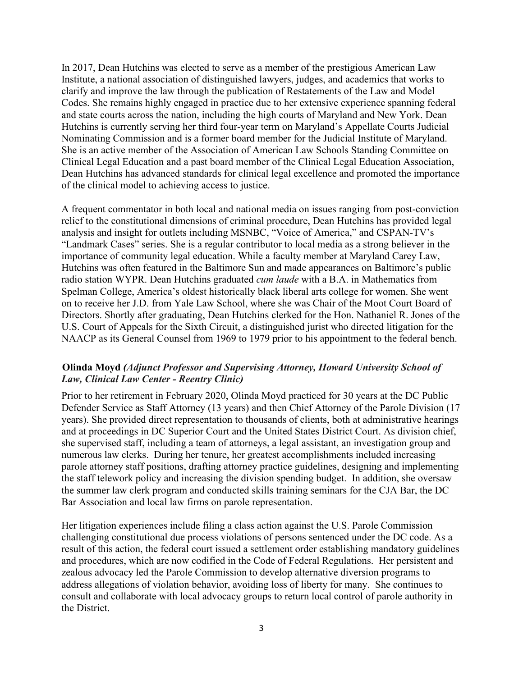In 2017, Dean Hutchins was elected to serve as a member of the prestigious American Law Institute, a national association of distinguished lawyers, judges, and academics that works to clarify and improve the law through the publication of Restatements of the Law and Model Codes. She remains highly engaged in practice due to her extensive experience spanning federal and state courts across the nation, including the high courts of Maryland and New York. Dean Hutchins is currently serving her third four-year term on Maryland's Appellate Courts Judicial Nominating Commission and is a former board member for the Judicial Institute of Maryland. She is an active member of the Association of American Law Schools Standing Committee on Clinical Legal Education and a past board member of the Clinical Legal Education Association, Dean Hutchins has advanced standards for clinical legal excellence and promoted the importance of the clinical model to achieving access to justice.

A frequent commentator in both local and national media on issues ranging from post-conviction relief to the constitutional dimensions of criminal procedure, Dean Hutchins has provided legal analysis and insight for outlets including MSNBC, "Voice of America," and CSPAN-TV's "Landmark Cases" series. She is a regular contributor to local media as a strong believer in the importance of community legal education. While a faculty member at Maryland Carey Law, Hutchins was often featured in the Baltimore Sun and made appearances on Baltimore's public radio station WYPR. Dean Hutchins graduated *cum laude* with a B.A. in Mathematics from Spelman College, America's oldest historically black liberal arts college for women. She went on to receive her J.D. from Yale Law School, where she was Chair of the Moot Court Board of Directors. Shortly after graduating, Dean Hutchins clerked for the Hon. Nathaniel R. Jones of the U.S. Court of Appeals for the Sixth Circuit, a distinguished jurist who directed litigation for the NAACP as its General Counsel from 1969 to 1979 prior to his appointment to the federal bench.

### **Olinda Moyd** *(Adjunct Professor and Supervising Attorney, Howard University School of Law, Clinical Law Center - Reentry Clinic)*

Prior to her retirement in February 2020, Olinda Moyd practiced for 30 years at the DC Public Defender Service as Staff Attorney (13 years) and then Chief Attorney of the Parole Division (17 years). She provided direct representation to thousands of clients, both at administrative hearings and at proceedings in DC Superior Court and the United States District Court. As division chief, she supervised staff, including a team of attorneys, a legal assistant, an investigation group and numerous law clerks. During her tenure, her greatest accomplishments included increasing parole attorney staff positions, drafting attorney practice guidelines, designing and implementing the staff telework policy and increasing the division spending budget. In addition, she oversaw the summer law clerk program and conducted skills training seminars for the CJA Bar, the DC Bar Association and local law firms on parole representation.

Her litigation experiences include filing a class action against the U.S. Parole Commission challenging constitutional due process violations of persons sentenced under the DC code. As a result of this action, the federal court issued a settlement order establishing mandatory guidelines and procedures, which are now codified in the Code of Federal Regulations. Her persistent and zealous advocacy led the Parole Commission to develop alternative diversion programs to address allegations of violation behavior, avoiding loss of liberty for many. She continues to consult and collaborate with local advocacy groups to return local control of parole authority in the District.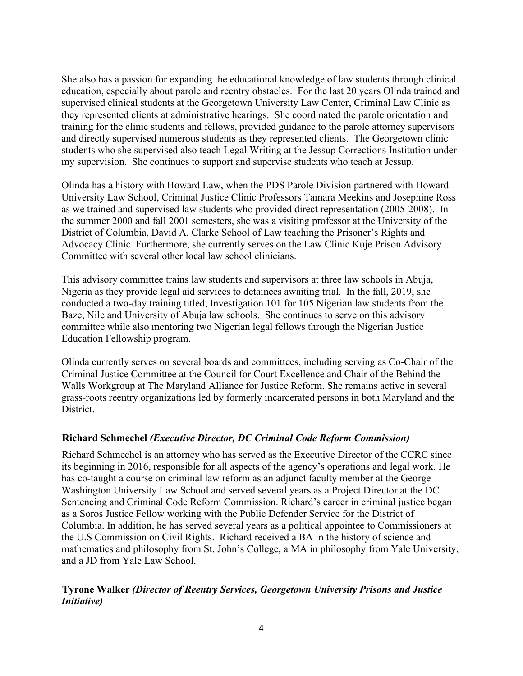She also has a passion for expanding the educational knowledge of law students through clinical education, especially about parole and reentry obstacles. For the last 20 years Olinda trained and supervised clinical students at the Georgetown University Law Center, Criminal Law Clinic as they represented clients at administrative hearings. She coordinated the parole orientation and training for the clinic students and fellows, provided guidance to the parole attorney supervisors and directly supervised numerous students as they represented clients. The Georgetown clinic students who she supervised also teach Legal Writing at the Jessup Corrections Institution under my supervision. She continues to support and supervise students who teach at Jessup.

Olinda has a history with Howard Law, when the PDS Parole Division partnered with Howard University Law School, Criminal Justice Clinic Professors Tamara Meekins and Josephine Ross as we trained and supervised law students who provided direct representation (2005-2008). In the summer 2000 and fall 2001 semesters, she was a visiting professor at the University of the District of Columbia, David A. Clarke School of Law teaching the Prisoner's Rights and Advocacy Clinic. Furthermore, she currently serves on the Law Clinic Kuje Prison Advisory Committee with several other local law school clinicians.

This advisory committee trains law students and supervisors at three law schools in Abuja, Nigeria as they provide legal aid services to detainees awaiting trial. In the fall, 2019, she conducted a two-day training titled, Investigation 101 for 105 Nigerian law students from the Baze, Nile and University of Abuja law schools. She continues to serve on this advisory committee while also mentoring two Nigerian legal fellows through the Nigerian Justice Education Fellowship program.

Olinda currently serves on several boards and committees, including serving as Co-Chair of the Criminal Justice Committee at the Council for Court Excellence and Chair of the Behind the Walls Workgroup at The Maryland Alliance for Justice Reform. She remains active in several grass-roots reentry organizations led by formerly incarcerated persons in both Maryland and the District.

## **Richard Schmechel** *(Executive Director, DC Criminal Code Reform Commission)*

Richard Schmechel is an attorney who has served as the Executive Director of the CCRC since its beginning in 2016, responsible for all aspects of the agency's operations and legal work. He has co-taught a course on criminal law reform as an adjunct faculty member at the George Washington University Law School and served several years as a Project Director at the DC Sentencing and Criminal Code Reform Commission. Richard's career in criminal justice began as a Soros Justice Fellow working with the Public Defender Service for the District of Columbia. In addition, he has served several years as a political appointee to Commissioners at the U.S Commission on Civil Rights. Richard received a BA in the history of science and mathematics and philosophy from St. John's College, a MA in philosophy from Yale University, and a JD from Yale Law School.

## **Tyrone Walker** *(Director of Reentry Services, Georgetown University Prisons and Justice Initiative)*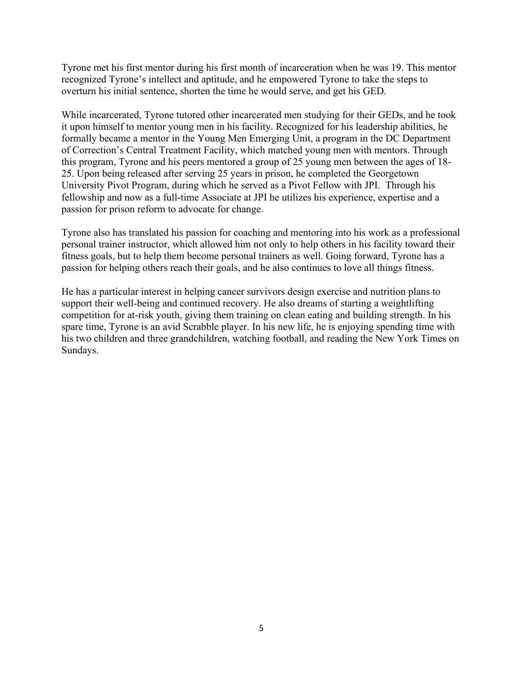Tyrone met his first mentor during his first month of incarceration when he was 19. This mentor recognized Tyrone's intellect and aptitude, and he empowered Tyrone to take the steps to overturn his initial sentence, shorten the time he would serve, and get his GED.

While incarcerated, Tyrone tutored other incarcerated men studying for their GEDs, and he took it upon himself to mentor young men in his facility. Recognized for his leadership abilities, he formally became a mentor in the Young Men Emerging Unit, a program in the DC Department of Correction's Central Treatment Facility, which matched young men with mentors. Through this program, Tyrone and his peers mentored a group of 25 young men between the ages of 18- 25. Upon being released after serving 25 years in prison, he completed the Georgetown University Pivot Program, during which he served as a Pivot Fellow with JPI. Through his fellowship and now as a full-time Associate at JPI he utilizes his experience, expertise and a passion for prison reform to advocate for change.

Tyrone also has translated his passion for coaching and mentoring into his work as a professional personal trainer instructor, which allowed him not only to help others in his facility toward their fitness goals, but to help them become personal trainers as well. Going forward, Tyrone has a passion for helping others reach their goals, and he also continues to love all things fitness.

He has a particular interest in helping cancer survivors design exercise and nutrition plans to support their well-being and continued recovery. He also dreams of starting a weightlifting competition for at-risk youth, giving them training on clean eating and building strength. In his spare time, Tyrone is an avid Scrabble player. In his new life, he is enjoying spending time with his two children and three grandchildren, watching football, and reading the New York Times on Sundays.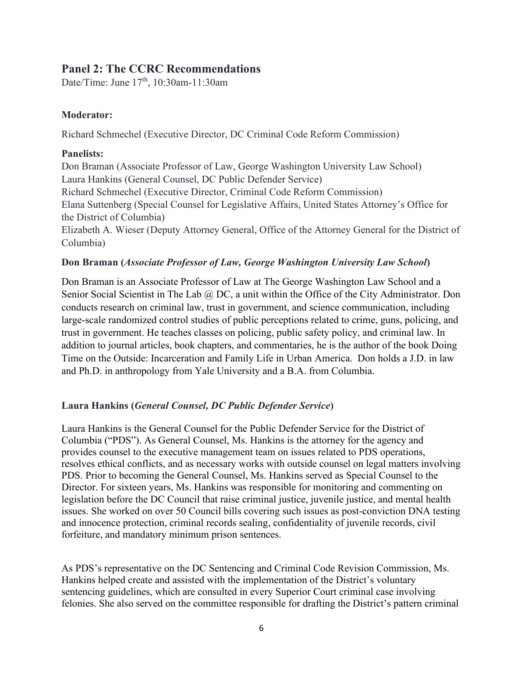## **Panel 2: The CCRC Recommendations**

Date/Time: June 17<sup>th</sup>, 10:30am-11:30am

## **Moderator:**

Richard Schmechel (Executive Director, DC Criminal Code Reform Commission)

## **Panelists:**

Don Braman (Associate Professor of Law, George Washington University Law School) Laura Hankins (General Counsel, DC Public Defender Service) Richard Schmechel (Executive Director, Criminal Code Reform Commission) Elana Suttenberg (Special Counsel for Legislative Affairs, United States Attorney's Office for the District of Columbia) Elizabeth A. Wieser (Deputy Attorney General, Office of the Attorney General for the District of Columbia)

## **Don Braman (***Associate Professor of Law, George Washington University Law School***)**

Don Braman is an Associate Professor of Law at The George Washington Law School and a Senior Social Scientist in The Lab @ DC, a unit within the Office of the City Administrator. Don conducts research on criminal law, trust in government, and science communication, including large-scale randomized control studies of public perceptions related to crime, guns, policing, and trust in government. He teaches classes on policing, public safety policy, and criminal law. In addition to journal articles, book chapters, and commentaries, he is the author of the book Doing Time on the Outside: Incarceration and Family Life in Urban America. Don holds a J.D. in law and Ph.D. in anthropology from Yale University and a B.A. from Columbia.

## **Laura Hankins (***General Counsel, DC Public Defender Service***)**

Laura Hankins is the General Counsel for the Public Defender Service for the District of Columbia ("PDS"). As General Counsel, Ms. Hankins is the attorney for the agency and provides counsel to the executive management team on issues related to PDS operations, resolves ethical conflicts, and as necessary works with outside counsel on legal matters involving PDS. Prior to becoming the General Counsel, Ms. Hankins served as Special Counsel to the Director. For sixteen years, Ms. Hankins was responsible for monitoring and commenting on legislation before the DC Council that raise criminal justice, juvenile justice, and mental health issues. She worked on over 50 Council bills covering such issues as post-conviction DNA testing and innocence protection, criminal records sealing, confidentiality of juvenile records, civil forfeiture, and mandatory minimum prison sentences.

As PDS's representative on the DC Sentencing and Criminal Code Revision Commission, Ms. Hankins helped create and assisted with the implementation of the District's voluntary sentencing guidelines, which are consulted in every Superior Court criminal case involving felonies. She also served on the committee responsible for drafting the District's pattern criminal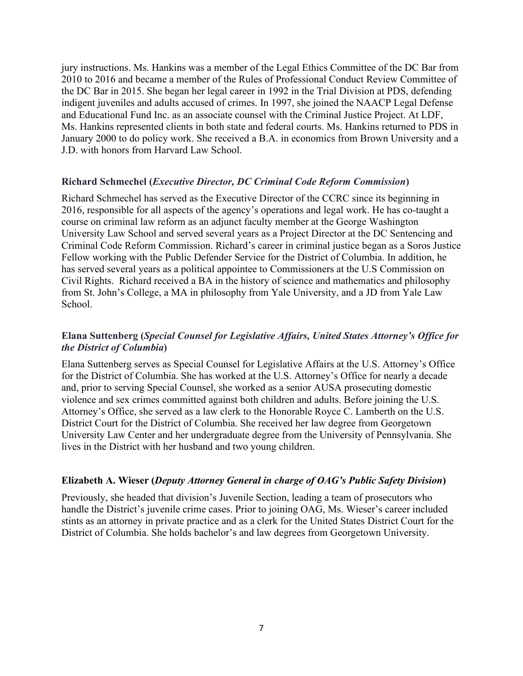jury instructions. Ms. Hankins was a member of the Legal Ethics Committee of the DC Bar from 2010 to 2016 and became a member of the Rules of Professional Conduct Review Committee of the DC Bar in 2015. She began her legal career in 1992 in the Trial Division at PDS, defending indigent juveniles and adults accused of crimes. In 1997, she joined the NAACP Legal Defense and Educational Fund Inc. as an associate counsel with the Criminal Justice Project. At LDF, Ms. Hankins represented clients in both state and federal courts. Ms. Hankins returned to PDS in January 2000 to do policy work. She received a B.A. in economics from Brown University and a J.D. with honors from Harvard Law School.

### **Richard Schmechel (***Executive Director, DC Criminal Code Reform Commission***)**

Richard Schmechel has served as the Executive Director of the CCRC since its beginning in 2016, responsible for all aspects of the agency's operations and legal work. He has co-taught a course on criminal law reform as an adjunct faculty member at the George Washington University Law School and served several years as a Project Director at the DC Sentencing and Criminal Code Reform Commission. Richard's career in criminal justice began as a Soros Justice Fellow working with the Public Defender Service for the District of Columbia. In addition, he has served several years as a political appointee to Commissioners at the U.S Commission on Civil Rights. Richard received a BA in the history of science and mathematics and philosophy from St. John's College, a MA in philosophy from Yale University, and a JD from Yale Law School.

## **Elana Suttenberg (***Special Counsel for Legislative Affairs, United States Attorney's Office for the District of Columbia***)**

Elana Suttenberg serves as Special Counsel for Legislative Affairs at the U.S. Attorney's Office for the District of Columbia. She has worked at the U.S. Attorney's Office for nearly a decade and, prior to serving Special Counsel, she worked as a senior AUSA prosecuting domestic violence and sex crimes committed against both children and adults. Before joining the U.S. Attorney's Office, she served as a law clerk to the Honorable Royce C. Lamberth on the U.S. District Court for the District of Columbia. She received her law degree from Georgetown University Law Center and her undergraduate degree from the University of Pennsylvania. She lives in the District with her husband and two young children.

### **Elizabeth A. Wieser (***Deputy Attorney General in charge of OAG's Public Safety Division***)**

Previously, she headed that division's Juvenile Section, leading a team of prosecutors who handle the District's juvenile crime cases. Prior to joining OAG, Ms. Wieser's career included stints as an attorney in private practice and as a clerk for the United States District Court for the District of Columbia. She holds bachelor's and law degrees from Georgetown University.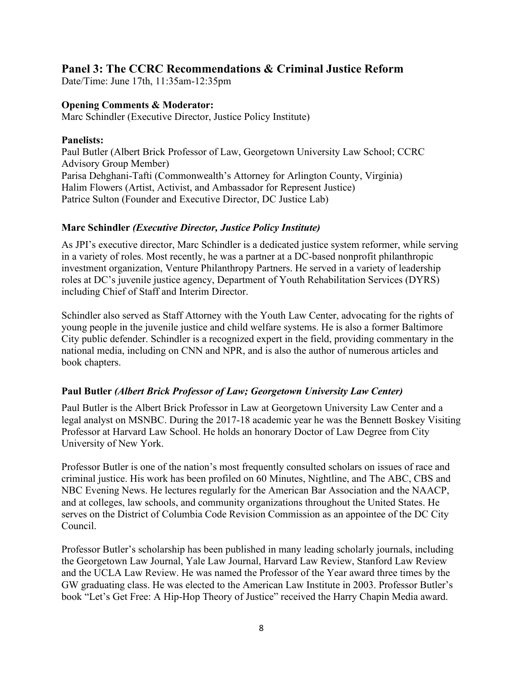## **Panel 3: The CCRC Recommendations & Criminal Justice Reform**

Date/Time: June 17th, 11:35am-12:35pm

### **Opening Comments & Moderator:**

Marc Schindler (Executive Director, Justice Policy Institute)

#### **Panelists:**

Paul Butler (Albert Brick Professor of Law, Georgetown University Law School; CCRC Advisory Group Member) Parisa Dehghani-Tafti (Commonwealth's Attorney for Arlington County, Virginia) Halim Flowers (Artist, Activist, and Ambassador for Represent Justice) Patrice Sulton (Founder and Executive Director, DC Justice Lab)

#### **Marc Schindler** *(Executive Director, Justice Policy Institute)*

As JPI's executive director, Marc Schindler is a dedicated justice system reformer, while serving in a variety of roles. Most recently, he was a partner at a DC-based nonprofit philanthropic investment organization, Venture Philanthropy Partners. He served in a variety of leadership roles at DC's juvenile justice agency, Department of Youth Rehabilitation Services (DYRS) including Chief of Staff and Interim Director.

Schindler also served as Staff Attorney with the Youth Law Center, advocating for the rights of young people in the juvenile justice and child welfare systems. He is also a former Baltimore City public defender. Schindler is a recognized expert in the field, providing commentary in the national media, including on CNN and NPR, and is also the author of numerous articles and book chapters.

### **Paul Butler** *(Albert Brick Professor of Law; Georgetown University Law Center)*

Paul Butler is the Albert Brick Professor in Law at Georgetown University Law Center and a legal analyst on MSNBC. During the 2017-18 academic year he was the Bennett Boskey Visiting Professor at Harvard Law School. He holds an honorary Doctor of Law Degree from City University of New York.

Professor Butler is one of the nation's most frequently consulted scholars on issues of race and criminal justice. His work has been profiled on 60 Minutes, Nightline, and The ABC, CBS and NBC Evening News. He lectures regularly for the American Bar Association and the NAACP, and at colleges, law schools, and community organizations throughout the United States. He serves on the District of Columbia Code Revision Commission as an appointee of the DC City Council.

Professor Butler's scholarship has been published in many leading scholarly journals, including the Georgetown Law Journal, Yale Law Journal, Harvard Law Review, Stanford Law Review and the UCLA Law Review. He was named the Professor of the Year award three times by the GW graduating class. He was elected to the American Law Institute in 2003. Professor Butler's book "Let's Get Free: A Hip-Hop Theory of Justice" received the Harry Chapin Media award.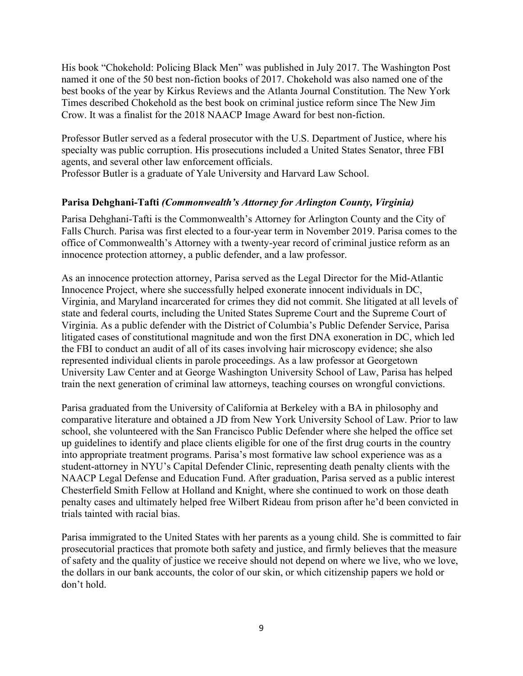His book "Chokehold: Policing Black Men" was published in July 2017. The Washington Post named it one of the 50 best non-fiction books of 2017. Chokehold was also named one of the best books of the year by Kirkus Reviews and the Atlanta Journal Constitution. The New York Times described Chokehold as the best book on criminal justice reform since The New Jim Crow. It was a finalist for the 2018 NAACP Image Award for best non-fiction.

Professor Butler served as a federal prosecutor with the U.S. Department of Justice, where his specialty was public corruption. His prosecutions included a United States Senator, three FBI agents, and several other law enforcement officials.

Professor Butler is a graduate of Yale University and Harvard Law School.

## **Parisa Dehghani-Tafti** *(Commonwealth's Attorney for Arlington County, Virginia)*

Parisa Dehghani-Tafti is the Commonwealth's Attorney for Arlington County and the City of Falls Church. Parisa was first elected to a four-year term in November 2019. Parisa comes to the office of Commonwealth's Attorney with a twenty-year record of criminal justice reform as an innocence protection attorney, a public defender, and a law professor.

As an innocence protection attorney, Parisa served as the Legal Director for the Mid-Atlantic Innocence Project, where she successfully helped exonerate innocent individuals in DC, Virginia, and Maryland incarcerated for crimes they did not commit. She litigated at all levels of state and federal courts, including the United States Supreme Court and the Supreme Court of Virginia. As a public defender with the District of Columbia's Public Defender Service, Parisa litigated cases of constitutional magnitude and won the first DNA exoneration in DC, which led the FBI to conduct an audit of all of its cases involving hair microscopy evidence; she also represented individual clients in parole proceedings. As a law professor at Georgetown University Law Center and at George Washington University School of Law, Parisa has helped train the next generation of criminal law attorneys, teaching courses on wrongful convictions.

Parisa graduated from the University of California at Berkeley with a BA in philosophy and comparative literature and obtained a JD from New York University School of Law. Prior to law school, she volunteered with the San Francisco Public Defender where she helped the office set up guidelines to identify and place clients eligible for one of the first drug courts in the country into appropriate treatment programs. Parisa's most formative law school experience was as a student-attorney in NYU's Capital Defender Clinic, representing death penalty clients with the NAACP Legal Defense and Education Fund. After graduation, Parisa served as a public interest Chesterfield Smith Fellow at Holland and Knight, where she continued to work on those death penalty cases and ultimately helped free Wilbert Rideau from prison after he'd been convicted in trials tainted with racial bias.

Parisa immigrated to the United States with her parents as a young child. She is committed to fair prosecutorial practices that promote both safety and justice, and firmly believes that the measure of safety and the quality of justice we receive should not depend on where we live, who we love, the dollars in our bank accounts, the color of our skin, or which citizenship papers we hold or don't hold.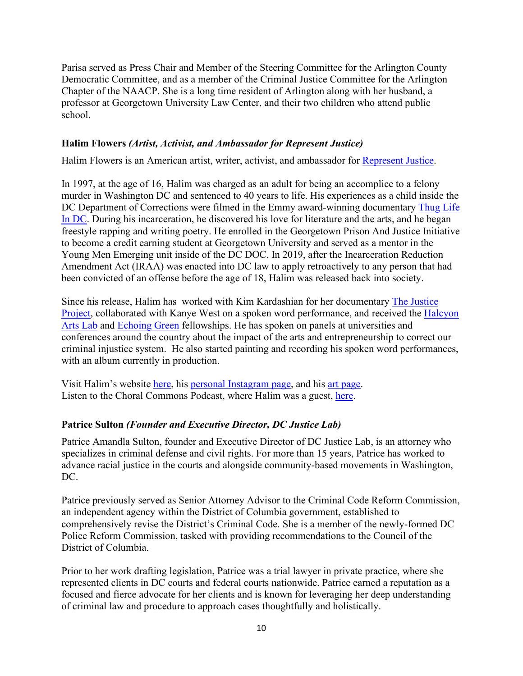Parisa served as Press Chair and Member of the Steering Committee for the Arlington County Democratic Committee, and as a member of the Criminal Justice Committee for the Arlington Chapter of the NAACP. She is a long time resident of Arlington along with her husband, a professor at Georgetown University Law Center, and their two children who attend public school.

### **Halim Flowers** *(Artist, Activist, and Ambassador for Represent Justice)*

Halim Flowers is an American artist, writer, activist, and ambassador for [Represent](https://www.representjustice.org/) Justice.

In 1997, at the age of 16, Halim was charged as an adult for being an accomplice to a felony murder in Washington DC and sentenced to 40 years to life. His experiences as a child inside the DC Department of Corrections were filmed in the Emmy award-winning documentary [Thug](https://www.blowbackproductions.com/blank-5) Life In [DC.](https://www.blowbackproductions.com/blank-5) During his incarceration, he discovered his love for literature and the arts, and he began freestyle rapping and writing poetry. He enrolled in the Georgetown Prison And Justice Initiative to become a credit earning student at Georgetown University and served as a mentor in the Young Men Emerging unit inside of the DC DOC. In 2019, after the Incarceration Reduction Amendment Act (IRAA) was enacted into DC law to apply retroactively to any person that had been convicted of an offense before the age of 18, Halim was released back into society.

Since his release, Halim has worked with Kim Kardashian for her documentary The [Justice](https://www.oxygen.com/kim-kardashian-west-the-justice-project) [Project,](https://www.oxygen.com/kim-kardashian-west-the-justice-project) collaborated with Kanye West on a spoken word performance, and received the [Halcyon](https://halcyonhouse.org/arts-lab) [Arts](https://halcyonhouse.org/arts-lab) Lab and [Echoing](https://echoinggreen.org/) Green fellowships. He has spoken on panels at universities and conferences around the country about the impact of the arts and entrepreneurship to correct our criminal injustice system. He also started painting and recording his spoken word performances, with an album currently in production.

Visit Halim's website [here,](https://www.halimaflowers.com/) his personal [Instagram](https://www.instagram.com/halimflowers/?hl=en) page, and his art [page.](https://www.instagram.com/ideallionaires/?hl=en) Listen to the Choral Commons Podcast, where Halim was a guest, [here.](https://www.thechoralcommons.com/blog/race-mass-incarceration-and-the-choir)

## **Patrice Sulton** *(Founder and Executive Director, DC Justice Lab)*

Patrice Amandla Sulton, founder and Executive Director of DC Justice Lab, is an attorney who specializes in criminal defense and civil rights. For more than 15 years, Patrice has worked to advance racial justice in the courts and alongside community-based movements in Washington, DC.

Patrice previously served as Senior Attorney Advisor to the Criminal Code Reform Commission, an independent agency within the District of Columbia government, established to comprehensively revise the District's Criminal Code. She is a member of the newly-formed DC Police Reform Commission, tasked with providing recommendations to the Council of the District of Columbia.

Prior to her work drafting legislation, Patrice was a trial lawyer in private practice, where she represented clients in DC courts and federal courts nationwide. Patrice earned a reputation as a focused and fierce advocate for her clients and is known for leveraging her deep understanding of criminal law and procedure to approach cases thoughtfully and holistically.